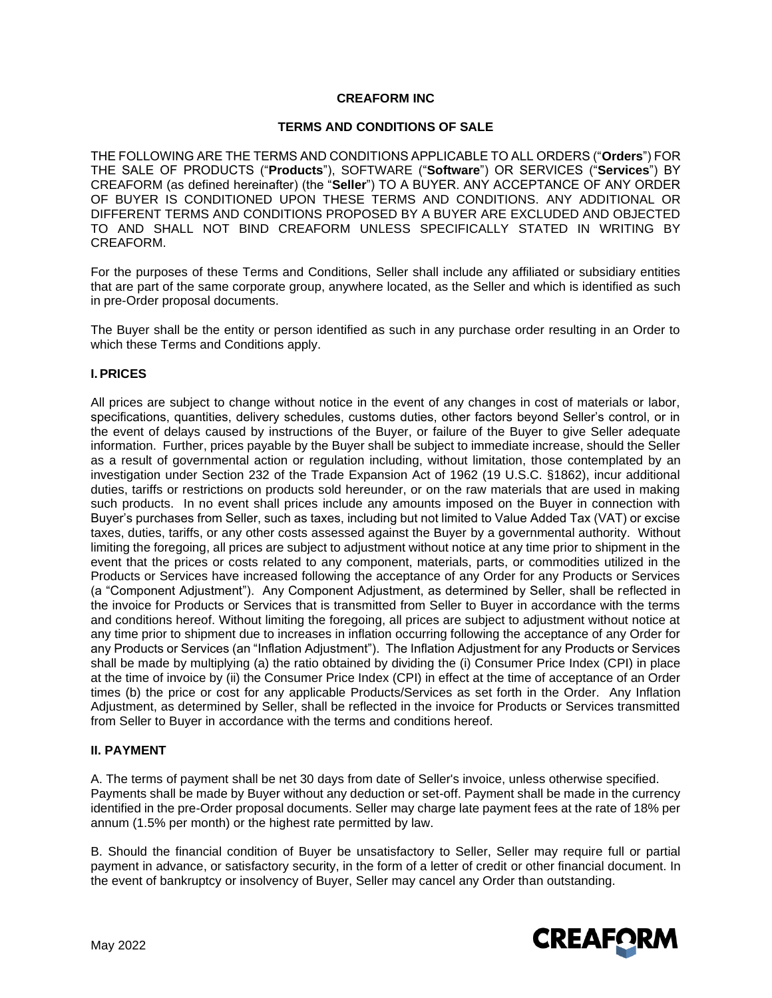### **CREAFORM INC**

### **TERMS AND CONDITIONS OF SALE**

THE FOLLOWING ARE THE TERMS AND CONDITIONS APPLICABLE TO ALL ORDERS ("**Orders**") FOR THE SALE OF PRODUCTS ("**Products**"), SOFTWARE ("**Software**") OR SERVICES ("**Services**") BY CREAFORM (as defined hereinafter) (the "**Seller**") TO A BUYER. ANY ACCEPTANCE OF ANY ORDER OF BUYER IS CONDITIONED UPON THESE TERMS AND CONDITIONS. ANY ADDITIONAL OR DIFFERENT TERMS AND CONDITIONS PROPOSED BY A BUYER ARE EXCLUDED AND OBJECTED TO AND SHALL NOT BIND CREAFORM UNLESS SPECIFICALLY STATED IN WRITING BY CREAFORM.

For the purposes of these Terms and Conditions, Seller shall include any affiliated or subsidiary entities that are part of the same corporate group, anywhere located, as the Seller and which is identified as such in pre-Order proposal documents.

The Buyer shall be the entity or person identified as such in any purchase order resulting in an Order to which these Terms and Conditions apply.

### **I.PRICES**

All prices are subject to change without notice in the event of any changes in cost of materials or labor, specifications, quantities, delivery schedules, customs duties, other factors beyond Seller's control, or in the event of delays caused by instructions of the Buyer, or failure of the Buyer to give Seller adequate information. Further, prices payable by the Buyer shall be subject to immediate increase, should the Seller as a result of governmental action or regulation including, without limitation, those contemplated by an investigation under Section 232 of the Trade Expansion Act of 1962 (19 U.S.C. §1862), incur additional duties, tariffs or restrictions on products sold hereunder, or on the raw materials that are used in making such products. In no event shall prices include any amounts imposed on the Buyer in connection with Buyer's purchases from Seller, such as taxes, including but not limited to Value Added Tax (VAT) or excise taxes, duties, tariffs, or any other costs assessed against the Buyer by a governmental authority. Without limiting the foregoing, all prices are subject to adjustment without notice at any time prior to shipment in the event that the prices or costs related to any component, materials, parts, or commodities utilized in the Products or Services have increased following the acceptance of any Order for any Products or Services (a "Component Adjustment"). Any Component Adjustment, as determined by Seller, shall be reflected in the invoice for Products or Services that is transmitted from Seller to Buyer in accordance with the terms and conditions hereof. Without limiting the foregoing, all prices are subject to adjustment without notice at any time prior to shipment due to increases in inflation occurring following the acceptance of any Order for any Products or Services (an "Inflation Adjustment"). The Inflation Adjustment for any Products or Services shall be made by multiplying (a) the ratio obtained by dividing the (i) Consumer Price Index (CPI) in place at the time of invoice by (ii) the Consumer Price Index (CPI) in effect at the time of acceptance of an Order times (b) the price or cost for any applicable Products/Services as set forth in the Order. Any Inflation Adjustment, as determined by Seller, shall be reflected in the invoice for Products or Services transmitted from Seller to Buyer in accordance with the terms and conditions hereof.

#### **II. PAYMENT**

A. The terms of payment shall be net 30 days from date of Seller's invoice, unless otherwise specified. Payments shall be made by Buyer without any deduction or set-off. Payment shall be made in the currency identified in the pre-Order proposal documents. Seller may charge late payment fees at the rate of 18% per annum (1.5% per month) or the highest rate permitted by law.

B. Should the financial condition of Buyer be unsatisfactory to Seller, Seller may require full or partial payment in advance, or satisfactory security, in the form of a letter of credit or other financial document. In the event of bankruptcy or insolvency of Buyer, Seller may cancel any Order than outstanding.

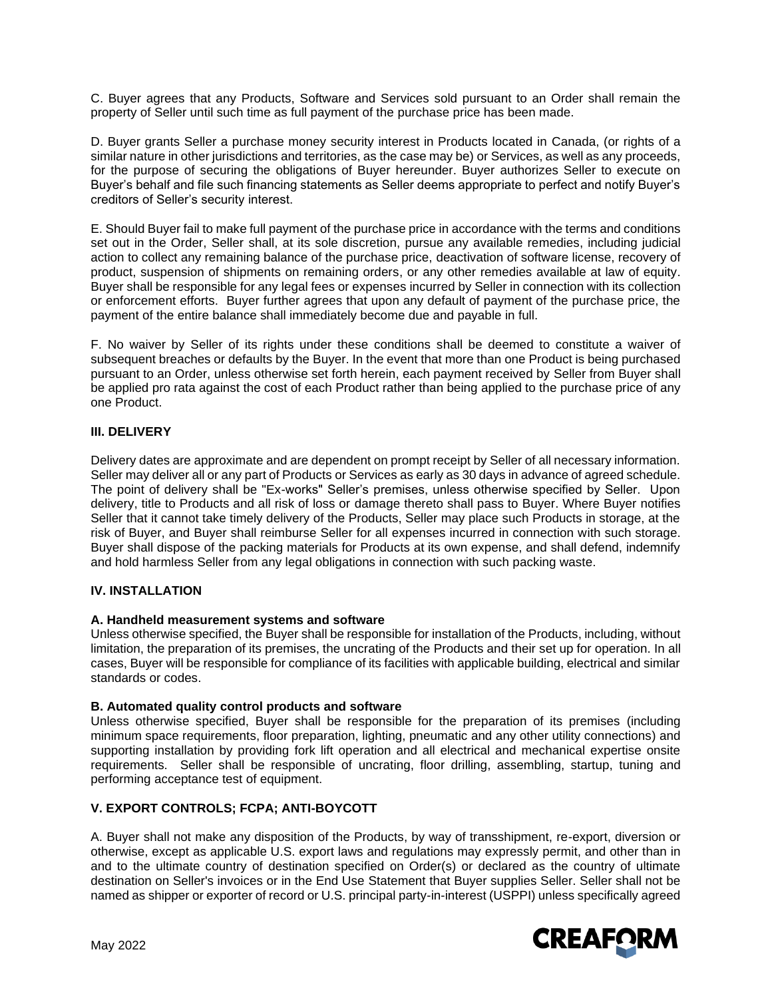C. Buyer agrees that any Products, Software and Services sold pursuant to an Order shall remain the property of Seller until such time as full payment of the purchase price has been made.

D. Buyer grants Seller a purchase money security interest in Products located in Canada, (or rights of a similar nature in other jurisdictions and territories, as the case may be) or Services, as well as any proceeds, for the purpose of securing the obligations of Buyer hereunder. Buyer authorizes Seller to execute on Buyer's behalf and file such financing statements as Seller deems appropriate to perfect and notify Buyer's creditors of Seller's security interest.

E. Should Buyer fail to make full payment of the purchase price in accordance with the terms and conditions set out in the Order, Seller shall, at its sole discretion, pursue any available remedies, including judicial action to collect any remaining balance of the purchase price, deactivation of software license, recovery of product, suspension of shipments on remaining orders, or any other remedies available at law of equity. Buyer shall be responsible for any legal fees or expenses incurred by Seller in connection with its collection or enforcement efforts. Buyer further agrees that upon any default of payment of the purchase price, the payment of the entire balance shall immediately become due and payable in full.

F. No waiver by Seller of its rights under these conditions shall be deemed to constitute a waiver of subsequent breaches or defaults by the Buyer. In the event that more than one Product is being purchased pursuant to an Order, unless otherwise set forth herein, each payment received by Seller from Buyer shall be applied pro rata against the cost of each Product rather than being applied to the purchase price of any one Product.

### **III. DELIVERY**

Delivery dates are approximate and are dependent on prompt receipt by Seller of all necessary information. Seller may deliver all or any part of Products or Services as early as 30 days in advance of agreed schedule. The point of delivery shall be "Ex-works" Seller's premises, unless otherwise specified by Seller. Upon delivery, title to Products and all risk of loss or damage thereto shall pass to Buyer. Where Buyer notifies Seller that it cannot take timely delivery of the Products, Seller may place such Products in storage, at the risk of Buyer, and Buyer shall reimburse Seller for all expenses incurred in connection with such storage. Buyer shall dispose of the packing materials for Products at its own expense, and shall defend, indemnify and hold harmless Seller from any legal obligations in connection with such packing waste.

# **IV. INSTALLATION**

#### **A. Handheld measurement systems and software**

Unless otherwise specified, the Buyer shall be responsible for installation of the Products, including, without limitation, the preparation of its premises, the uncrating of the Products and their set up for operation. In all cases, Buyer will be responsible for compliance of its facilities with applicable building, electrical and similar standards or codes.

#### **B. Automated quality control products and software**

Unless otherwise specified, Buyer shall be responsible for the preparation of its premises (including minimum space requirements, floor preparation, lighting, pneumatic and any other utility connections) and supporting installation by providing fork lift operation and all electrical and mechanical expertise onsite requirements. Seller shall be responsible of uncrating, floor drilling, assembling, startup, tuning and performing acceptance test of equipment.

# **V. EXPORT CONTROLS; FCPA; ANTI-BOYCOTT**

A. Buyer shall not make any disposition of the Products, by way of transshipment, re-export, diversion or otherwise, except as applicable U.S. export laws and regulations may expressly permit, and other than in and to the ultimate country of destination specified on Order(s) or declared as the country of ultimate destination on Seller's invoices or in the End Use Statement that Buyer supplies Seller. Seller shall not be named as shipper or exporter of record or U.S. principal party-in-interest (USPPI) unless specifically agreed

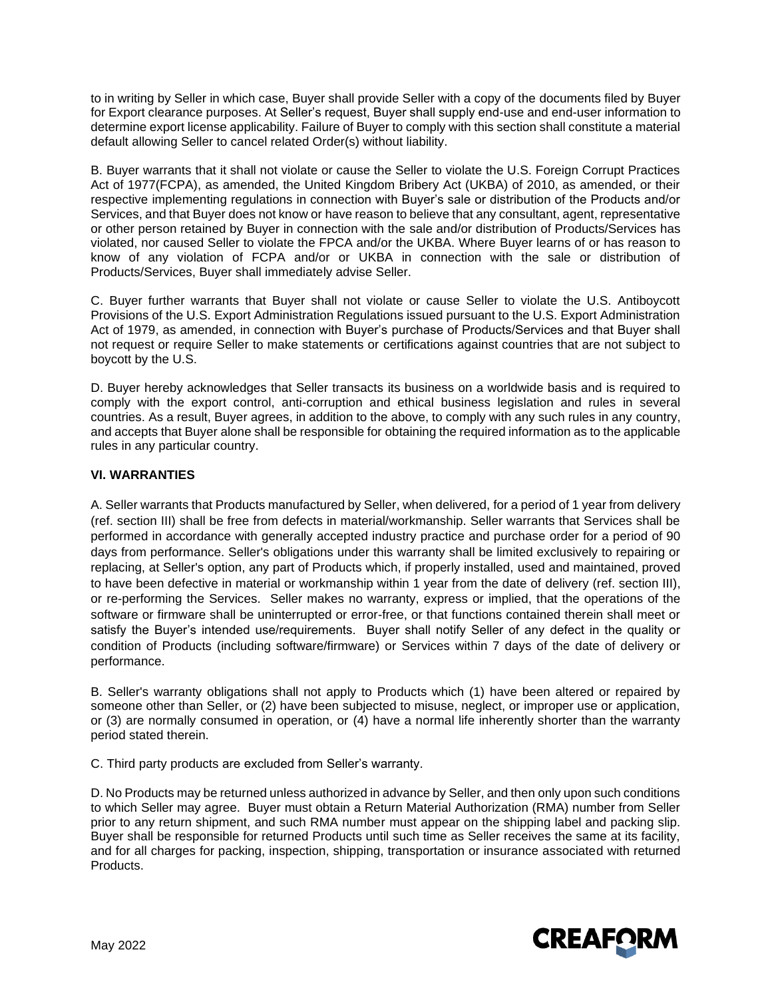to in writing by Seller in which case, Buyer shall provide Seller with a copy of the documents filed by Buyer for Export clearance purposes. At Seller's request, Buyer shall supply end-use and end-user information to determine export license applicability. Failure of Buyer to comply with this section shall constitute a material default allowing Seller to cancel related Order(s) without liability.

B. Buyer warrants that it shall not violate or cause the Seller to violate the U.S. Foreign Corrupt Practices Act of 1977(FCPA), as amended, the United Kingdom Bribery Act (UKBA) of 2010, as amended, or their respective implementing regulations in connection with Buyer's sale or distribution of the Products and/or Services, and that Buyer does not know or have reason to believe that any consultant, agent, representative or other person retained by Buyer in connection with the sale and/or distribution of Products/Services has violated, nor caused Seller to violate the FPCA and/or the UKBA. Where Buyer learns of or has reason to know of any violation of FCPA and/or or UKBA in connection with the sale or distribution of Products/Services, Buyer shall immediately advise Seller.

C. Buyer further warrants that Buyer shall not violate or cause Seller to violate the U.S. Antiboycott Provisions of the U.S. Export Administration Regulations issued pursuant to the U.S. Export Administration Act of 1979, as amended, in connection with Buyer's purchase of Products/Services and that Buyer shall not request or require Seller to make statements or certifications against countries that are not subject to boycott by the U.S.

D. Buyer hereby acknowledges that Seller transacts its business on a worldwide basis and is required to comply with the export control, anti-corruption and ethical business legislation and rules in several countries. As a result, Buyer agrees, in addition to the above, to comply with any such rules in any country, and accepts that Buyer alone shall be responsible for obtaining the required information as to the applicable rules in any particular country.

# **VI. WARRANTIES**

A. Seller warrants that Products manufactured by Seller, when delivered, for a period of 1 year from delivery (ref. section III) shall be free from defects in material/workmanship. Seller warrants that Services shall be performed in accordance with generally accepted industry practice and purchase order for a period of 90 days from performance. Seller's obligations under this warranty shall be limited exclusively to repairing or replacing, at Seller's option, any part of Products which, if properly installed, used and maintained, proved to have been defective in material or workmanship within 1 year from the date of delivery (ref. section III), or re-performing the Services. Seller makes no warranty, express or implied, that the operations of the software or firmware shall be uninterrupted or error-free, or that functions contained therein shall meet or satisfy the Buyer's intended use/requirements. Buyer shall notify Seller of any defect in the quality or condition of Products (including software/firmware) or Services within 7 days of the date of delivery or performance.

B. Seller's warranty obligations shall not apply to Products which (1) have been altered or repaired by someone other than Seller, or (2) have been subjected to misuse, neglect, or improper use or application, or (3) are normally consumed in operation, or (4) have a normal life inherently shorter than the warranty period stated therein.

C. Third party products are excluded from Seller's warranty.

D. No Products may be returned unless authorized in advance by Seller, and then only upon such conditions to which Seller may agree. Buyer must obtain a Return Material Authorization (RMA) number from Seller prior to any return shipment, and such RMA number must appear on the shipping label and packing slip. Buyer shall be responsible for returned Products until such time as Seller receives the same at its facility, and for all charges for packing, inspection, shipping, transportation or insurance associated with returned Products.

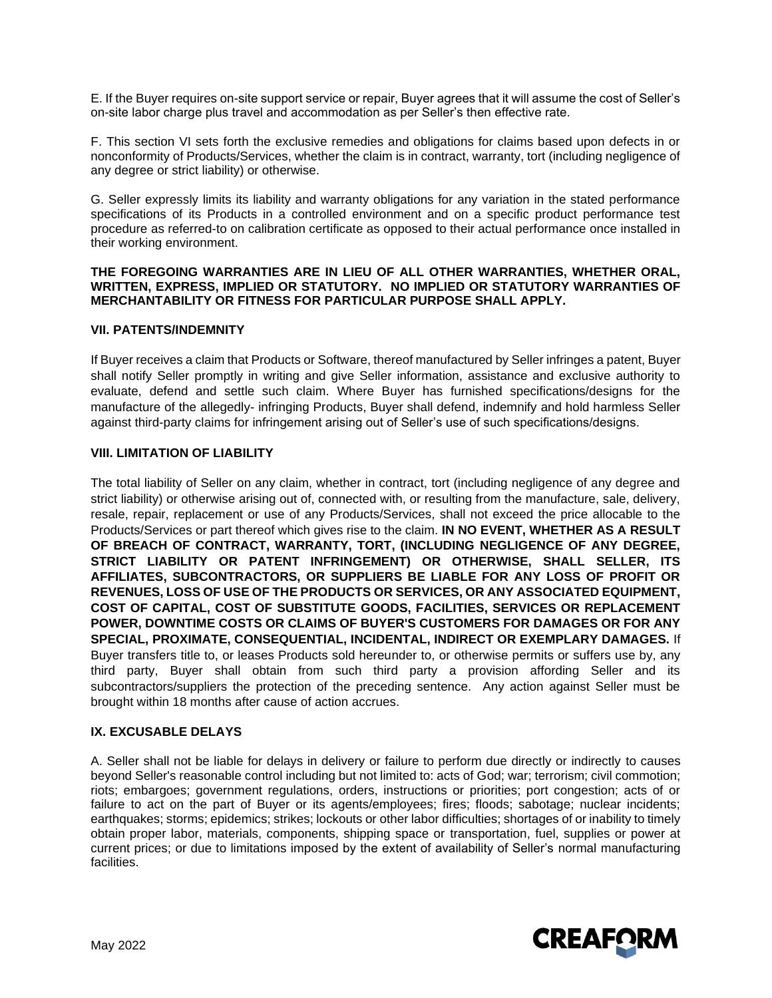E. If the Buyer requires on-site support service or repair, Buyer agrees that it will assume the cost of Seller's on-site labor charge plus travel and accommodation as per Seller's then effective rate.

F. This section VI sets forth the exclusive remedies and obligations for claims based upon defects in or nonconformity of Products/Services, whether the claim is in contract, warranty, tort (including negligence of any degree or strict liability) or otherwise.

G. Seller expressly limits its liability and warranty obligations for any variation in the stated performance specifications of its Products in a controlled environment and on a specific product performance test procedure as referred-to on calibration certificate as opposed to their actual performance once installed in their working environment.

#### **THE FOREGOING WARRANTIES ARE IN LIEU OF ALL OTHER WARRANTIES, WHETHER ORAL, WRITTEN, EXPRESS, IMPLIED OR STATUTORY. NO IMPLIED OR STATUTORY WARRANTIES OF MERCHANTABILITY OR FITNESS FOR PARTICULAR PURPOSE SHALL APPLY.**

### **VII. PATENTS/INDEMNITY**

If Buyer receives a claim that Products or Software, thereof manufactured by Seller infringes a patent, Buyer shall notify Seller promptly in writing and give Seller information, assistance and exclusive authority to evaluate, defend and settle such claim. Where Buyer has furnished specifications/designs for the manufacture of the allegedly- infringing Products, Buyer shall defend, indemnify and hold harmless Seller against third-party claims for infringement arising out of Seller's use of such specifications/designs.

### **VIII. LIMITATION OF LIABILITY**

The total liability of Seller on any claim, whether in contract, tort (including negligence of any degree and strict liability) or otherwise arising out of, connected with, or resulting from the manufacture, sale, delivery, resale, repair, replacement or use of any Products/Services, shall not exceed the price allocable to the Products/Services or part thereof which gives rise to the claim. **IN NO EVENT, WHETHER AS A RESULT OF BREACH OF CONTRACT, WARRANTY, TORT, (INCLUDING NEGLIGENCE OF ANY DEGREE, STRICT LIABILITY OR PATENT INFRINGEMENT) OR OTHERWISE, SHALL SELLER, ITS AFFILIATES, SUBCONTRACTORS, OR SUPPLIERS BE LIABLE FOR ANY LOSS OF PROFIT OR REVENUES, LOSS OF USE OF THE PRODUCTS OR SERVICES, OR ANY ASSOCIATED EQUIPMENT, COST OF CAPITAL, COST OF SUBSTITUTE GOODS, FACILITIES, SERVICES OR REPLACEMENT POWER, DOWNTIME COSTS OR CLAIMS OF BUYER'S CUSTOMERS FOR DAMAGES OR FOR ANY SPECIAL, PROXIMATE, CONSEQUENTIAL, INCIDENTAL, INDIRECT OR EXEMPLARY DAMAGES.** If Buyer transfers title to, or leases Products sold hereunder to, or otherwise permits or suffers use by, any third party, Buyer shall obtain from such third party a provision affording Seller and its subcontractors/suppliers the protection of the preceding sentence. Any action against Seller must be brought within 18 months after cause of action accrues.

#### **IX. EXCUSABLE DELAYS**

A. Seller shall not be liable for delays in delivery or failure to perform due directly or indirectly to causes beyond Seller's reasonable control including but not limited to: acts of God; war; terrorism; civil commotion; riots; embargoes; government regulations, orders, instructions or priorities; port congestion; acts of or failure to act on the part of Buyer or its agents/employees; fires; floods; sabotage; nuclear incidents; earthquakes; storms; epidemics; strikes; lockouts or other labor difficulties; shortages of or inability to timely obtain proper labor, materials, components, shipping space or transportation, fuel, supplies or power at current prices; or due to limitations imposed by the extent of availability of Seller's normal manufacturing facilities.

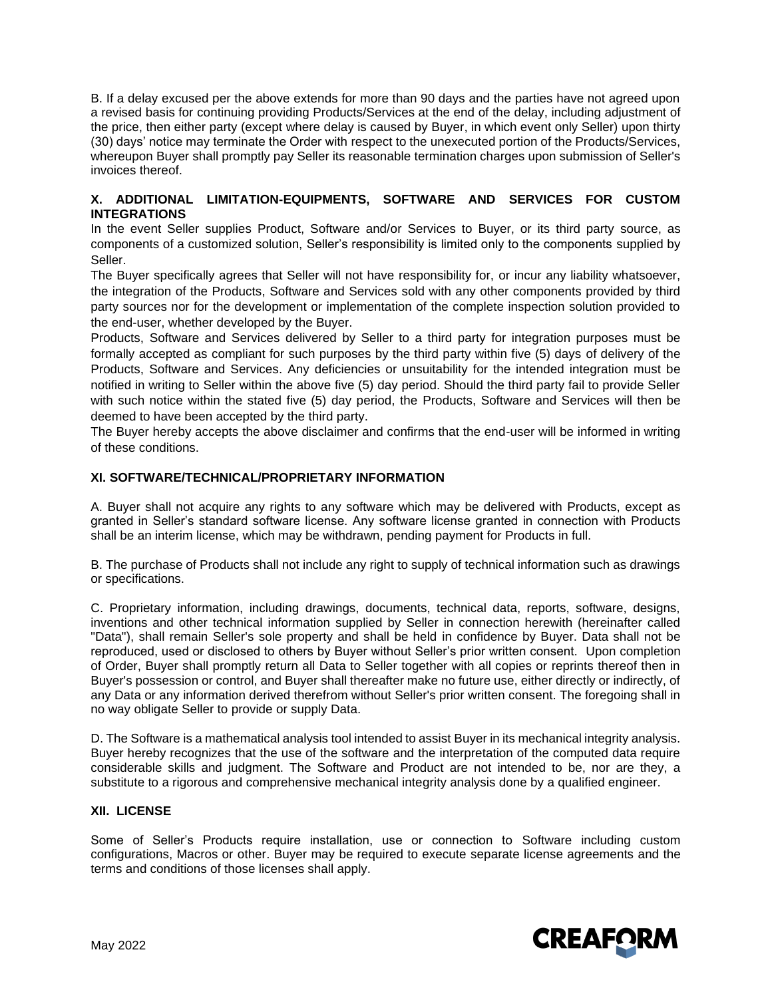B. If a delay excused per the above extends for more than 90 days and the parties have not agreed upon a revised basis for continuing providing Products/Services at the end of the delay, including adjustment of the price, then either party (except where delay is caused by Buyer, in which event only Seller) upon thirty (30) days' notice may terminate the Order with respect to the unexecuted portion of the Products/Services, whereupon Buyer shall promptly pay Seller its reasonable termination charges upon submission of Seller's invoices thereof.

### **X. ADDITIONAL LIMITATION-EQUIPMENTS, SOFTWARE AND SERVICES FOR CUSTOM INTEGRATIONS**

In the event Seller supplies Product, Software and/or Services to Buyer, or its third party source, as components of a customized solution, Seller's responsibility is limited only to the components supplied by Seller.

The Buyer specifically agrees that Seller will not have responsibility for, or incur any liability whatsoever, the integration of the Products, Software and Services sold with any other components provided by third party sources nor for the development or implementation of the complete inspection solution provided to the end-user, whether developed by the Buyer.

Products, Software and Services delivered by Seller to a third party for integration purposes must be formally accepted as compliant for such purposes by the third party within five (5) days of delivery of the Products, Software and Services. Any deficiencies or unsuitability for the intended integration must be notified in writing to Seller within the above five (5) day period. Should the third party fail to provide Seller with such notice within the stated five (5) day period, the Products, Software and Services will then be deemed to have been accepted by the third party.

The Buyer hereby accepts the above disclaimer and confirms that the end-user will be informed in writing of these conditions.

# **XI. SOFTWARE/TECHNICAL/PROPRIETARY INFORMATION**

A. Buyer shall not acquire any rights to any software which may be delivered with Products, except as granted in Seller's standard software license. Any software license granted in connection with Products shall be an interim license, which may be withdrawn, pending payment for Products in full.

B. The purchase of Products shall not include any right to supply of technical information such as drawings or specifications.

C. Proprietary information, including drawings, documents, technical data, reports, software, designs, inventions and other technical information supplied by Seller in connection herewith (hereinafter called "Data"), shall remain Seller's sole property and shall be held in confidence by Buyer. Data shall not be reproduced, used or disclosed to others by Buyer without Seller's prior written consent. Upon completion of Order, Buyer shall promptly return all Data to Seller together with all copies or reprints thereof then in Buyer's possession or control, and Buyer shall thereafter make no future use, either directly or indirectly, of any Data or any information derived therefrom without Seller's prior written consent. The foregoing shall in no way obligate Seller to provide or supply Data.

D. The Software is a mathematical analysis tool intended to assist Buyer in its mechanical integrity analysis. Buyer hereby recognizes that the use of the software and the interpretation of the computed data require considerable skills and judgment. The Software and Product are not intended to be, nor are they, a substitute to a rigorous and comprehensive mechanical integrity analysis done by a qualified engineer.

# **XII. LICENSE**

Some of Seller's Products require installation, use or connection to Software including custom configurations, Macros or other. Buyer may be required to execute separate license agreements and the terms and conditions of those licenses shall apply.